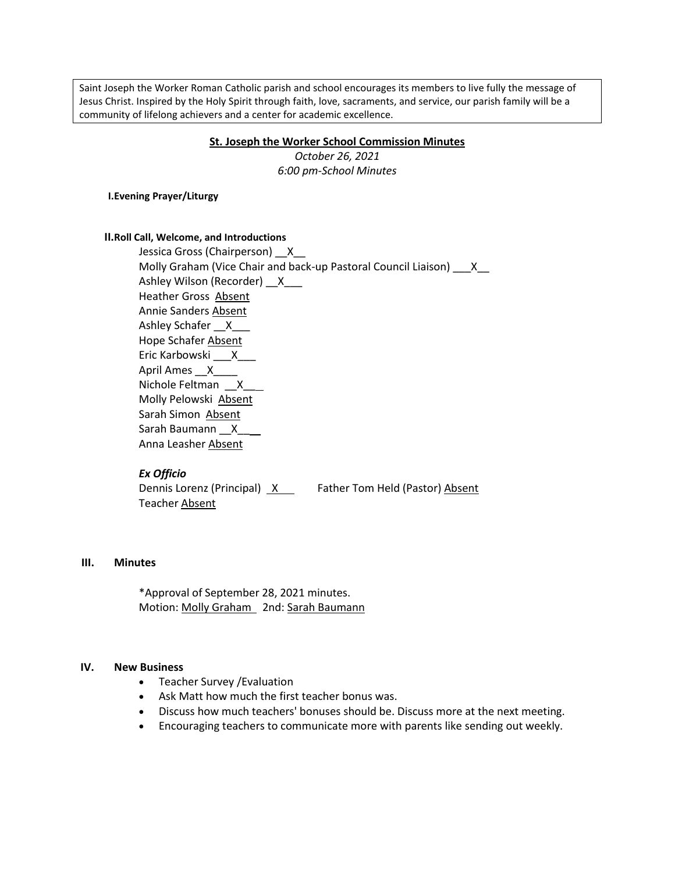Saint Joseph the Worker Roman Catholic parish and school encourages its members to live fully the message of Jesus Christ. Inspired by the Holy Spirit through faith, love, sacraments, and service, our parish family will be a community of lifelong achievers and a center for academic excellence.

#### **St. Joseph the Worker School Commission Minutes**

*October 26, 2021 6:00 pm-School Minutes*

**I.Evening Prayer/Liturgy**

#### **II.Roll Call, Welcome, and Introductions**

 Jessica Gross (Chairperson) \_\_X\_\_ Molly Graham (Vice Chair and back-up Pastoral Council Liaison) X Ashley Wilson (Recorder) X Heather Gross Absent Annie Sanders Absent Ashley Schafer X Hope Schafer Absent Eric Karbowski \_\_\_X\_\_\_ April Ames \_\_X\_\_\_\_ Nichole Feltman \_\_X\_\_\_ Molly Pelowski Absent Sarah Simon Absent Sarah Baumann X Anna Leasher Absent

#### *Ex Officio*

Dennis Lorenz (Principal) X Father Tom Held (Pastor) Absent Teacher Absent

# **III. Minutes**

\*Approval of September 28, 2021 minutes. Motion: Molly Graham 2nd: Sarah Baumann

#### **IV. New Business**

- Teacher Survey / Evaluation
- Ask Matt how much the first teacher bonus was.
- Discuss how much teachers' bonuses should be. Discuss more at the next meeting.
- Encouraging teachers to communicate more with parents like sending out weekly.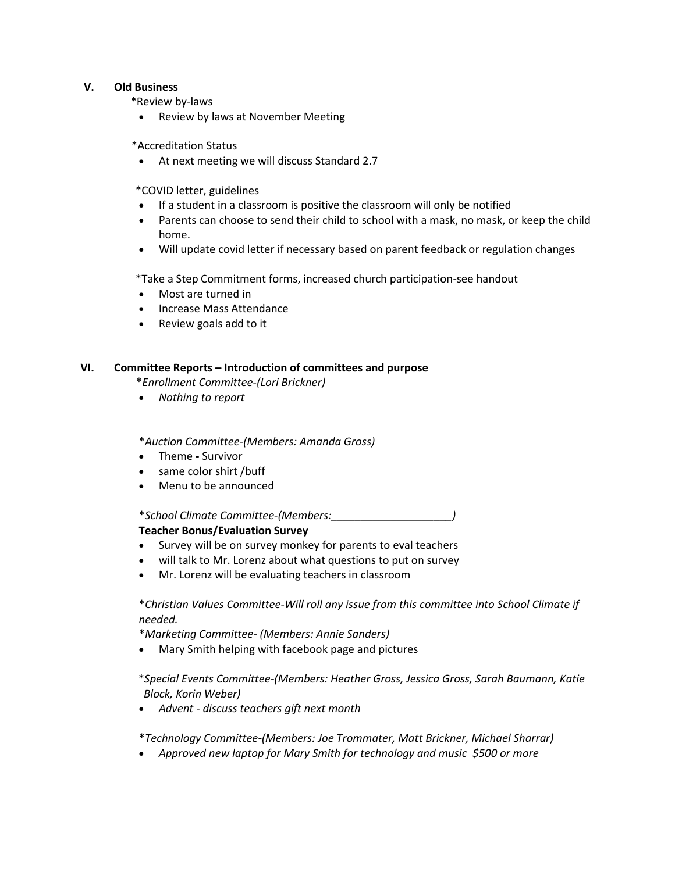## **V. Old Business**

\*Review by-laws

• Review by laws at November Meeting

\*Accreditation Status

At next meeting we will discuss Standard 2.7

\*COVID letter, guidelines

- If a student in a classroom is positive the classroom will only be notified
- Parents can choose to send their child to school with a mask, no mask, or keep the child home.
- Will update covid letter if necessary based on parent feedback or regulation changes

\*Take a Step Commitment forms, increased church participation-see handout

- Most are turned in
- Increase Mass Attendance
- Review goals add to it

## **VI. Committee Reports – Introduction of committees and purpose**

\**Enrollment Committee-(Lori Brickner)*

*Nothing to report*

\**Auction Committee-(Members: Amanda Gross)*

- Theme **-** Survivor
- same color shirt /buff
- Menu to be announced

\**School Climate Committee-(Members:\_\_\_\_\_\_\_\_\_\_\_\_\_\_\_\_\_\_\_\_)*

# **Teacher Bonus/Evaluation Survey**

- Survey will be on survey monkey for parents to eval teachers
- will talk to Mr. Lorenz about what questions to put on survey
- Mr. Lorenz will be evaluating teachers in classroom

# \**Christian Values Committee*-*Will roll any issue from this committee into School Climate if needed.*

\**Marketing Committee- (Members: Annie Sanders)*

Mary Smith helping with facebook page and pictures

# \**Special Events Committee-(Members: Heather Gross, Jessica Gross, Sarah Baumann, Katie Block, Korin Weber)*

*Advent - discuss teachers gift next month*

\**Technology Committee-(Members: Joe Trommater, Matt Brickner, Michael Sharrar)*

*Approved new laptop for Mary Smith for technology and music \$500 or more*